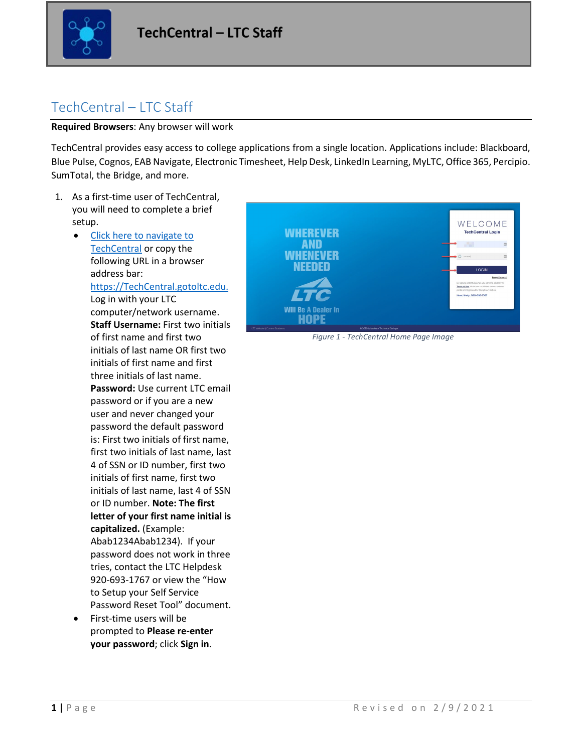

# TechCentral – LTC Staff

**Required Browsers**: Any browser will work

TechCentral provides easy access to college applications from a single location. Applications include: Blackboard, Blue Pulse, Cognos, EAB Navigate, Electronic Timesheet, Help Desk, LinkedIn Learning, MyLTC, Office 365, Percipio. SumTotal, the Bridge, and more.

- 1. As a first-time user of TechCentral, you will need to complete a brief setup.
	- [Click here to navigate to](https://techcentral.gotoltc.edu/)  [TechCentral](https://techcentral.gotoltc.edu/) or copy the following URL in a browser address bar: [https://TechCentral.gotoltc.edu.](https://techcentral.gotoltc.edu/) Log in with your LTC computer/network username. **Staff Username:** First two initials of first name and first two initials of last name OR first two initials of first name and first three initials of last name. **Password:** Use current LTC email password or if you are a new user and never changed your password the default password is: First two initials of first name, first two initials of last name, last 4 of SSN or ID number, first two initials of first name, first two initials of last name, last 4 of SSN or ID number. **Note: The first letter of your first name initial is capitalized.** (Example: Abab1234Abab1234). If your password does not work in three tries, contact the LTC Helpdesk 920-693-1767 or view the "How to Setup your Self Service Password Reset Tool" document.
	- First-time users will be prompted to **Please re-enter your password**; click **Sign in**.



*Figure 1 - TechCentral Home Page Image*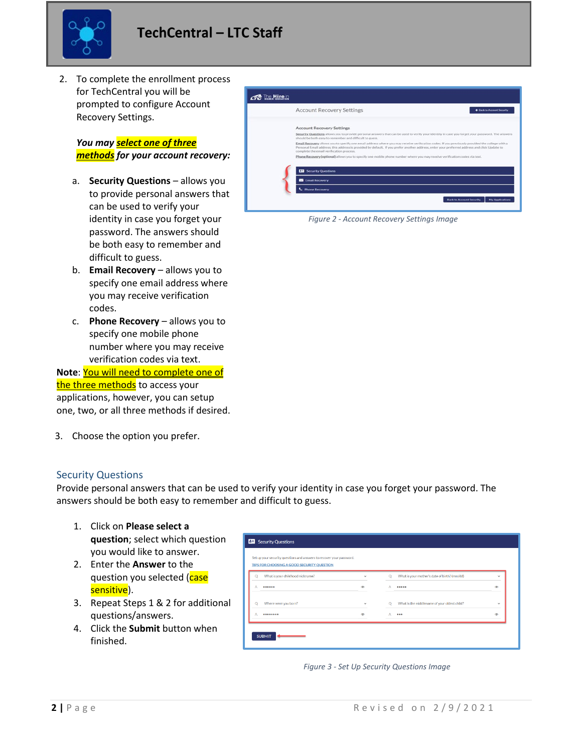

2. To complete the enrollment process for TechCentral you will be prompted to configure Account Recovery Settings.

*You may select one of three methods for your account recovery:*

- a. **Security Questions** allows you to provide personal answers that can be used to verify your identity in case you forget your password. The answers should be both easy to remember and difficult to guess.
- b. **Email Recovery** allows you to specify one email address where you may receive verification codes.
- c. **Phone Recovery** allows you to specify one mobile phone number where you may receive verification codes via text.

**Note**: You will need to complete one of the three methods to access your applications, however, you can setup one, two, or all three methods if desired.

3. Choose the option you prefer.

#### Security Questions

Provide personal answers that can be used to verify your identity in case you forget your password. The answers should be both easy to remember and difficult to guess.

- 1. Click on **Please select a question**; select which question you would like to answer.
- 2. Enter the **Answer** to the question you selected (case sensitive).
- 3. Repeat Steps 1 & 2 for additional questions/answers.
- 4. Click the **Submit** button when finished.



*Figure 2 - Account Recovery Settings Image*

| $\checkmark$  |
|---------------|
|               |
|               |
| $\circledast$ |
| $\checkmark$  |
| ⊛             |
|               |
|               |
|               |

*Figure 3 - Set Up Security Questions Image*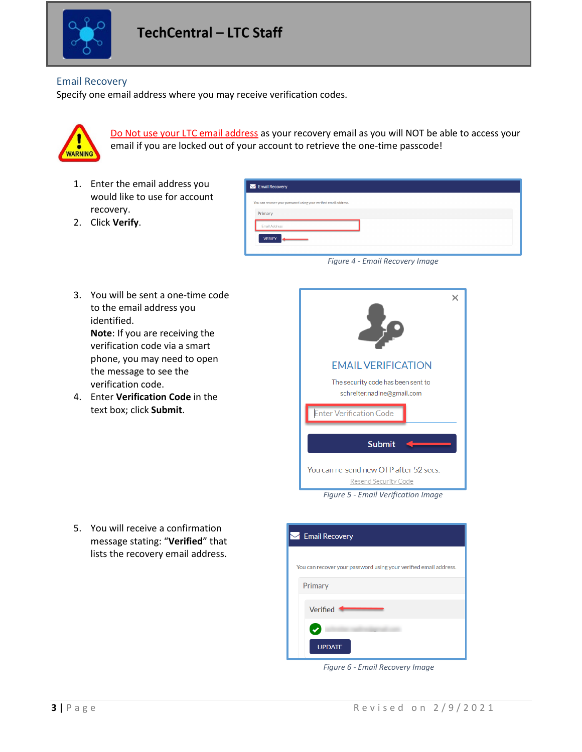

### Email Recovery

Specify one email address where you may receive verification codes.



Do Not use your LTC email address as your recovery email as you will NOT be able to access your email if you are locked out of your account to retrieve the one-time passcode!

1. Enter the email address you would like to use for account recovery.

| You can recover your password using your verified email address. |  |  |
|------------------------------------------------------------------|--|--|
|                                                                  |  |  |
|                                                                  |  |  |
|                                                                  |  |  |

- 2. Click **Verify**.
- 3. You will be sent a one-time code to the email address you identified. **Note**: If you are receiving the verification code via a smart phone, you may need to open the message to see the verification code.
- 4. Enter **Verification Code** in the text box; click **Submit**.





5. You will receive a confirmation message stating: "**Verified**" that lists the recovery email address.

| $\blacktriangleright$ Email Recovery                             |
|------------------------------------------------------------------|
| You can recover your password using your verified email address. |
| Primary                                                          |
| Verified                                                         |
|                                                                  |
| <b>UPDATE</b>                                                    |

*Figure 6 - Email Recovery Image*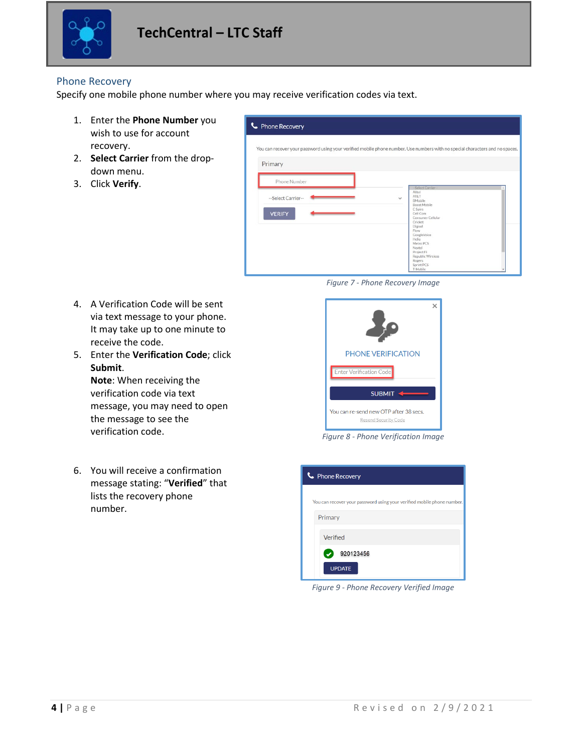

### Phone Recovery

Specify one mobile phone number where you may receive verification codes via text.

- 1. Enter the **Phone Number** you wish to use for account recovery.
- 2. **Select Carrier** from the dropdown menu.
- 3. Click **Verify**.

| C Phone Recovery                                                                                                             |                                                           |  |  |  |  |
|------------------------------------------------------------------------------------------------------------------------------|-----------------------------------------------------------|--|--|--|--|
| You can recover your password using your verified mobile phone number. Use numbers with no special characters and no spaces. |                                                           |  |  |  |  |
| Primary                                                                                                                      |                                                           |  |  |  |  |
| Phone Number                                                                                                                 | -Select Carrier-                                          |  |  |  |  |
| --Select Carrier--                                                                                                           | Alltel<br>AT&T<br>$\checkmark$<br>BMobile<br>Boost Mobile |  |  |  |  |
| <b>VERIFY</b>                                                                                                                | C Spire<br>Cell Com<br>Consumer Cellular<br>Cricket       |  |  |  |  |
|                                                                                                                              | Digicel<br>Flow<br>GoogleVoice<br>Helio                   |  |  |  |  |
|                                                                                                                              | Metro PCS<br>Nextel<br>Project Fi<br>Republic Wireless    |  |  |  |  |
|                                                                                                                              | Rogers<br>Sprint PCS<br>T-Mobile                          |  |  |  |  |

*Figure 7 - Phone Recovery Image*

- 4. A Verification Code will be sent via text message to your phone. It may take up to one minute to receive the code.
- 5. Enter the **Verification Code**; click **Submit**. **Note**: When receiving the verification code via text message, you may need to open the message to see the verification code. *Figure 8 - Phone Verification Image*
- 6. You will receive a confirmation message stating: "**Verified**" that lists the recovery phone number.



| • Phone Recovery                                                       |
|------------------------------------------------------------------------|
| You can recover your password using your verified mobile phone number. |
| Primary                                                                |
|                                                                        |
| Verified                                                               |
| 920123456                                                              |
| <b>UPDATE</b>                                                          |

*Figure 9 - Phone Recovery Verified Image*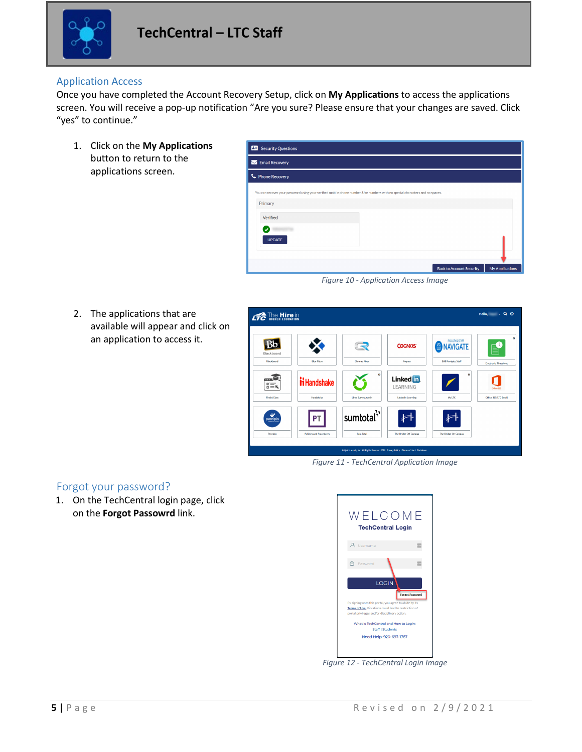

### Application Access

Once you have completed the Account Recovery Setup, click on **My Applications** to access the applications screen. You will receive a pop-up notification "Are you sure? Please ensure that your changes are saved. Click "yes" to continue."

1. Click on the **My Applications** button to return to the applications screen.

| <b>All</b> Security Questions                                                                                                |                                                           |
|------------------------------------------------------------------------------------------------------------------------------|-----------------------------------------------------------|
| Email Recovery                                                                                                               |                                                           |
| C Phone Recovery                                                                                                             |                                                           |
| You can recover your password using your verified mobile phone number. Use numbers with no special characters and no spaces. |                                                           |
| Primary                                                                                                                      |                                                           |
| Verified                                                                                                                     |                                                           |
| J.                                                                                                                           |                                                           |
| <b>UPDATE</b>                                                                                                                |                                                           |
|                                                                                                                              |                                                           |
|                                                                                                                              | <b>Back to Account Security</b><br><b>My Applications</b> |

*Figure 10 - Application Access Image*

2. The applications that are available will appear and click on an application to access it.



*Figure 11 - TechCentral Application Image*

## Forgot your password?

1. On the TechCentral login page, click on the **Forgot Passowrd** link.



*Figure 12 - TechCentral Login Image*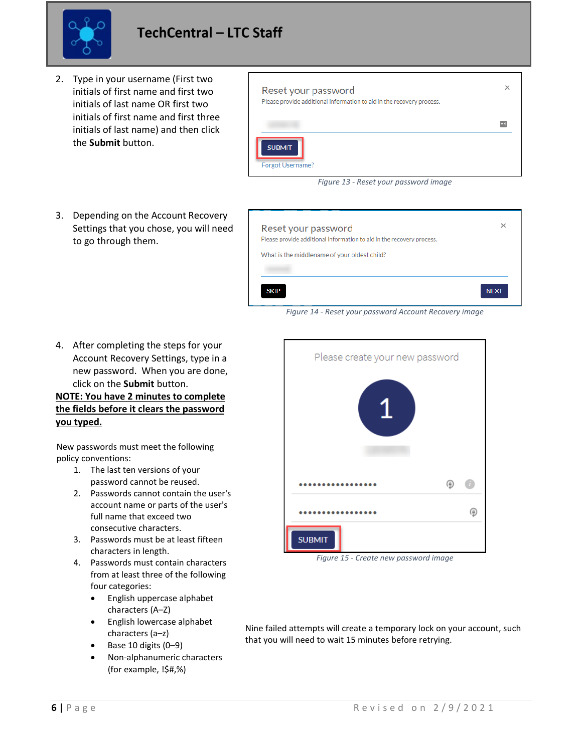

- 2. Type in your username (First two initials of first name and first two initials of last name OR first two initials of first name and first three initials of last name) and then click the **Submit** button.
- 3. Depending on the Account Recovery Settings that you chose, you will need to go through them.



*Figure 13 - Reset your password image*



*Figure 14 - Reset your password Account Recovery image*

4. After completing the steps for your Account Recovery Settings, type in a new password. When you are done, click on the **Submit** button.

### **NOTE: You have 2 minutes to complete the fields before it clears the password you typed.**

New passwords must meet the following policy conventions:

- 1. The last ten versions of your password cannot be reused.
- 2. Passwords cannot contain the user's account name or parts of the user's full name that exceed two consecutive characters.
- 3. Passwords must be at least fifteen characters in length.
- 4. Passwords must contain characters from at least three of the following four categories:
	- English uppercase alphabet characters (A–Z)
	- English lowercase alphabet characters (a–z)
	- Base 10 digits (0–9)
	- Non-alphanumeric characters (for example, !\$#,%)



*Figure 15 - Create new password image*

Nine failed attempts will create a temporary lock on your account, such that you will need to wait 15 minutes before retrying.